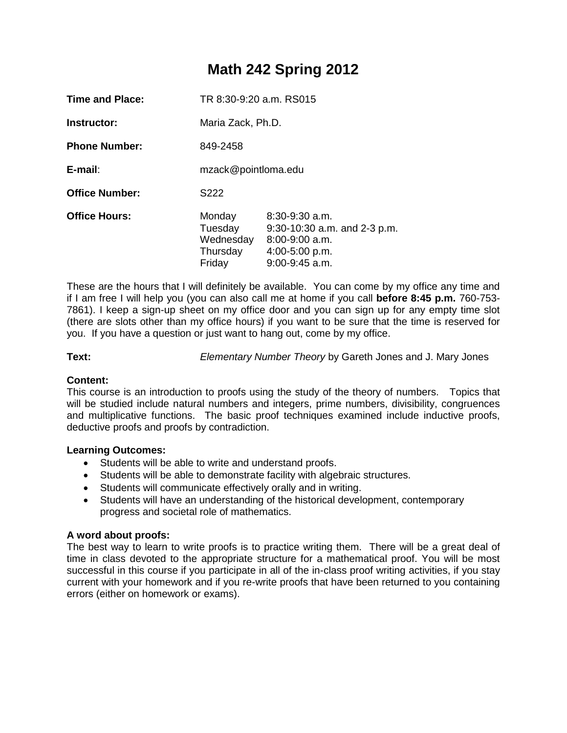# **Math 242 Spring 2012**

| Time and Place:       | TR 8:30-9:20 a.m. RS015                              |                                                                                                                |  |
|-----------------------|------------------------------------------------------|----------------------------------------------------------------------------------------------------------------|--|
| Instructor:           | Maria Zack, Ph.D.                                    |                                                                                                                |  |
| <b>Phone Number:</b>  | 849-2458                                             |                                                                                                                |  |
| $E$ -mail:            | mzack@pointloma.edu                                  |                                                                                                                |  |
| <b>Office Number:</b> | S <sub>222</sub>                                     |                                                                                                                |  |
| <b>Office Hours:</b>  | Monday<br>Tuesday<br>Wednesday<br>Thursday<br>Friday | $8:30-9:30$ a.m.<br>$9:30-10:30$ a.m. and 2-3 p.m.<br>$8:00-9:00$ a.m.<br>$4:00-5:00$ p.m.<br>$9:00-9:45$ a.m. |  |

These are the hours that I will definitely be available. You can come by my office any time and if I am free I will help you (you can also call me at home if you call **before 8:45 p.m.** 760-753- 7861). I keep a sign-up sheet on my office door and you can sign up for any empty time slot (there are slots other than my office hours) if you want to be sure that the time is reserved for you. If you have a question or just want to hang out, come by my office.

**Text:** *Elementary Number Theory* by Gareth Jones and J. Mary Jones

# **Content:**

This course is an introduction to proofs using the study of the theory of numbers. Topics that will be studied include natural numbers and integers, prime numbers, divisibility, congruences and multiplicative functions. The basic proof techniques examined include inductive proofs, deductive proofs and proofs by contradiction.

#### **Learning Outcomes:**

- Students will be able to write and understand proofs.
- Students will be able to demonstrate facility with algebraic structures.
- Students will communicate effectively orally and in writing.
- Students will have an understanding of the historical development, contemporary progress and societal role of mathematics.

# **A word about proofs:**

The best way to learn to write proofs is to practice writing them. There will be a great deal of time in class devoted to the appropriate structure for a mathematical proof. You will be most successful in this course if you participate in all of the in-class proof writing activities, if you stay current with your homework and if you re-write proofs that have been returned to you containing errors (either on homework or exams).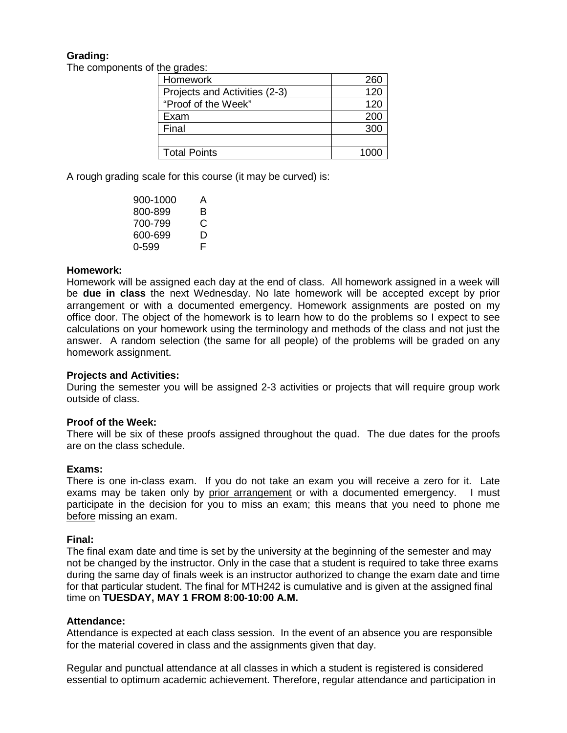# **Grading:**

The components of the grades:

| Homework                      | 260  |
|-------------------------------|------|
| Projects and Activities (2-3) | 120  |
| "Proof of the Week"           | 120  |
| Exam                          | 200  |
| Final                         | 300  |
|                               |      |
| <b>Total Points</b>           | 1000 |

A rough grading scale for this course (it may be curved) is:

| 900-1000 | А |
|----------|---|
| 800-899  | в |
| 700-799  | C |
| 600-699  | D |
| 0-599    | F |

## **Homework:**

Homework will be assigned each day at the end of class. All homework assigned in a week will be **due in class** the next Wednesday. No late homework will be accepted except by prior arrangement or with a documented emergency. Homework assignments are posted on my office door. The object of the homework is to learn how to do the problems so I expect to see calculations on your homework using the terminology and methods of the class and not just the answer. A random selection (the same for all people) of the problems will be graded on any homework assignment.

#### **Projects and Activities:**

During the semester you will be assigned 2-3 activities or projects that will require group work outside of class.

#### **Proof of the Week:**

There will be six of these proofs assigned throughout the quad. The due dates for the proofs are on the class schedule.

#### **Exams:**

There is one in-class exam. If you do not take an exam you will receive a zero for it. Late exams may be taken only by prior arrangement or with a documented emergency. I must participate in the decision for you to miss an exam; this means that you need to phone me before missing an exam.

#### **Final:**

The final exam date and time is set by the university at the beginning of the semester and may not be changed by the instructor. Only in the case that a student is required to take three exams during the same day of finals week is an instructor authorized to change the exam date and time for that particular student. The final for MTH242 is cumulative and is given at the assigned final time on **TUESDAY, MAY 1 FROM 8:00-10:00 A.M.**

#### **Attendance:**

Attendance is expected at each class session. In the event of an absence you are responsible for the material covered in class and the assignments given that day.

Regular and punctual attendance at all classes in which a student is registered is considered essential to optimum academic achievement. Therefore, regular attendance and participation in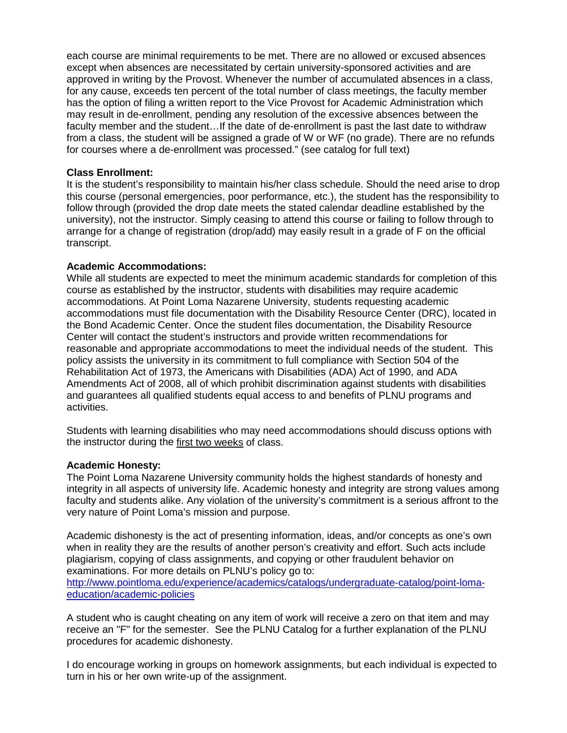each course are minimal requirements to be met. There are no allowed or excused absences except when absences are necessitated by certain university-sponsored activities and are approved in writing by the Provost. Whenever the number of accumulated absences in a class, for any cause, exceeds ten percent of the total number of class meetings, the faculty member has the option of filing a written report to the Vice Provost for Academic Administration which may result in de-enrollment, pending any resolution of the excessive absences between the faculty member and the student…If the date of de-enrollment is past the last date to withdraw from a class, the student will be assigned a grade of W or WF (no grade). There are no refunds for courses where a de-enrollment was processed." (see catalog for full text)

#### **Class Enrollment:**

It is the student's responsibility to maintain his/her class schedule. Should the need arise to drop this course (personal emergencies, poor performance, etc.), the student has the responsibility to follow through (provided the drop date meets the stated calendar deadline established by the university), not the instructor. Simply ceasing to attend this course or failing to follow through to arrange for a change of registration (drop/add) may easily result in a grade of F on the official transcript.

## **Academic Accommodations:**

While all students are expected to meet the minimum academic standards for completion of this course as established by the instructor, students with disabilities may require academic accommodations. At Point Loma Nazarene University, students requesting academic accommodations must file documentation with the Disability Resource Center (DRC), located in the Bond Academic Center. Once the student files documentation, the Disability Resource Center will contact the student's instructors and provide written recommendations for reasonable and appropriate accommodations to meet the individual needs of the student. This policy assists the university in its commitment to full compliance with Section 504 of the Rehabilitation Act of 1973, the Americans with Disabilities (ADA) Act of 1990, and ADA Amendments Act of 2008, all of which prohibit discrimination against students with disabilities and guarantees all qualified students equal access to and benefits of PLNU programs and activities.

Students with learning disabilities who may need accommodations should discuss options with the instructor during the first two weeks of class.

#### **Academic Honesty:**

The Point Loma Nazarene University community holds the highest standards of honesty and integrity in all aspects of university life. Academic honesty and integrity are strong values among faculty and students alike. Any violation of the university's commitment is a serious affront to the very nature of Point Loma's mission and purpose.

Academic dishonesty is the act of presenting information, ideas, and/or concepts as one's own when in reality they are the results of another person's creativity and effort. Such acts include plagiarism, copying of class assignments, and copying or other fraudulent behavior on examinations. For more details on PLNU's policy go to:

[http://www.pointloma.edu/experience/academics/catalogs/undergraduate-catalog/point-loma](http://www.pointloma.edu/experience/academics/catalogs/undergraduate-catalog/point-loma-education/academic-policies)[education/academic-policies](http://www.pointloma.edu/experience/academics/catalogs/undergraduate-catalog/point-loma-education/academic-policies)

A student who is caught cheating on any item of work will receive a zero on that item and may receive an "F" for the semester. See the PLNU Catalog for a further explanation of the PLNU procedures for academic dishonesty.

I do encourage working in groups on homework assignments, but each individual is expected to turn in his or her own write-up of the assignment.